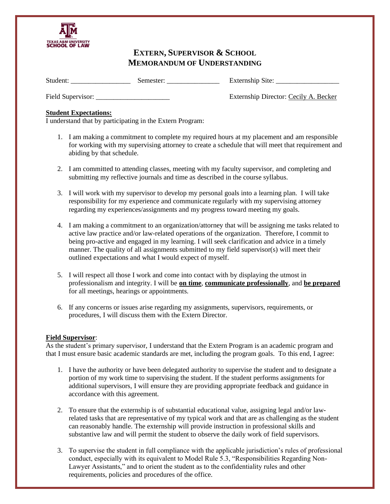

# **EXTERN, SUPERVISOR & SCHOOL MEMORANDUM OF UNDERSTANDING**

Student: \_\_\_\_\_\_\_\_\_\_\_\_\_\_\_\_\_\_\_\_ Semester: \_\_\_\_\_\_\_\_\_\_\_\_\_\_\_\_\_\_\_\_ Externship Site: \_\_\_\_\_\_\_\_\_\_\_\_\_\_\_\_\_\_\_\_\_

Field Supervisor: \_\_\_\_\_\_\_\_\_\_\_\_\_\_\_\_\_\_\_\_\_ Externship Director: Cecily A. Becker

# **Student Expectations:**

I understand that by participating in the Extern Program:

- 1. I am making a commitment to complete my required hours at my placement and am responsible for working with my supervising attorney to create a schedule that will meet that requirement and abiding by that schedule.
- 2. I am committed to attending classes, meeting with my faculty supervisor, and completing and submitting my reflective journals and time as described in the course syllabus.
- 3. I will work with my supervisor to develop my personal goals into a learning plan. I will take responsibility for my experience and communicate regularly with my supervising attorney regarding my experiences/assignments and my progress toward meeting my goals.
- 4. I am making a commitment to an organization/attorney that will be assigning me tasks related to active law practice and/or law-related operations of the organization. Therefore, I commit to being pro-active and engaged in my learning. I will seek clarification and advice in a timely manner. The quality of all assignments submitted to my field supervisor(s) will meet their outlined expectations and what I would expect of myself.
- 5. I will respect all those I work and come into contact with by displaying the utmost in professionalism and integrity. I will be **on time**, **communicate professionally**, and **be prepared** for all meetings, hearings or appointments.
- 6. If any concerns or issues arise regarding my assignments, supervisors, requirements, or procedures, I will discuss them with the Extern Director.

# **Field Supervisor**:

As the student's primary supervisor, I understand that the Extern Program is an academic program and that I must ensure basic academic standards are met, including the program goals. To this end, I agree:

- 1. I have the authority or have been delegated authority to supervise the student and to designate a portion of my work time to supervising the student. If the student performs assignments for additional supervisors, I will ensure they are providing appropriate feedback and guidance in accordance with this agreement.
- 2. To ensure that the externship is of substantial educational value, assigning legal and/or lawrelated tasks that are representative of my typical work and that are as challenging as the student can reasonably handle. The externship will provide instruction in professional skills and substantive law and will permit the student to observe the daily work of field supervisors.
- 3. To supervise the student in full compliance with the applicable jurisdiction's rules of professional conduct, especially with its equivalent to Model Rule 5.3, "Responsibilities Regarding Non-Lawyer Assistants," and to orient the student as to the confidentiality rules and other requirements, policies and procedures of the office.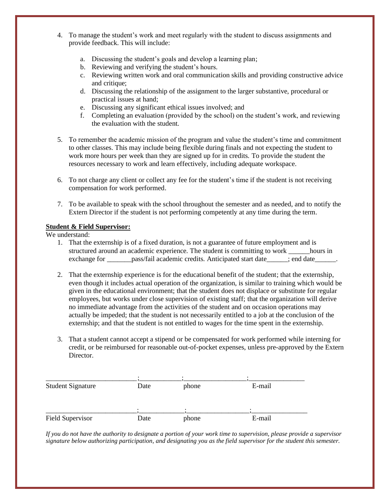- 4. To manage the student's work and meet regularly with the student to discuss assignments and provide feedback. This will include:
	- a. Discussing the student's goals and develop a learning plan;
	- b. Reviewing and verifying the student's hours.
	- c. Reviewing written work and oral communication skills and providing constructive advice and critique;
	- d. Discussing the relationship of the assignment to the larger substantive, procedural or practical issues at hand;
	- e. Discussing any significant ethical issues involved; and
	- f. Completing an evaluation (provided by the school) on the student's work, and reviewing the evaluation with the student.
- 5. To remember the academic mission of the program and value the student's time and commitment to other classes. This may include being flexible during finals and not expecting the student to work more hours per week than they are signed up for in credits. To provide the student the resources necessary to work and learn effectively, including adequate workspace.
- 6. To not charge any client or collect any fee for the student's time if the student is not receiving compensation for work performed.
- 7. To be available to speak with the school throughout the semester and as needed, and to notify the Extern Director if the student is not performing competently at any time during the term.

### **Student & Field Supervisor:**

We understand:

- 1. That the externship is of a fixed duration, is not a guarantee of future employment and is structured around an academic experience. The student is committing to work \_\_\_\_\_\_hours in exchange for \_\_\_\_\_\_\_pass/fail academic credits. Anticipated start date\_\_\_\_\_; end date\_\_\_\_\_\_.
- 2. That the externship experience is for the educational benefit of the student; that the externship, even though it includes actual operation of the organization, is similar to training which would be given in the educational environment; that the student does not displace or substitute for regular employees, but works under close supervision of existing staff; that the organization will derive no immediate advantage from the activities of the student and on occasion operations may actually be impeded; that the student is not necessarily entitled to a job at the conclusion of the externship; and that the student is not entitled to wages for the time spent in the externship.
- 3. That a student cannot accept a stipend or be compensated for work performed while interning for credit, or be reimbursed for reasonable out-of-pocket expenses, unless pre-approved by the Extern **Director**

| <b>Student Signature</b> | Date | phone | E-mail |
|--------------------------|------|-------|--------|
|                          |      |       |        |
| Field Supervisor         | Date | phone | E-mail |

*If you do not have the authority to designate a portion of your work time to supervision, please provide a supervisor signature below authorizing participation, and designating you as the field supervisor for the student this semester.*